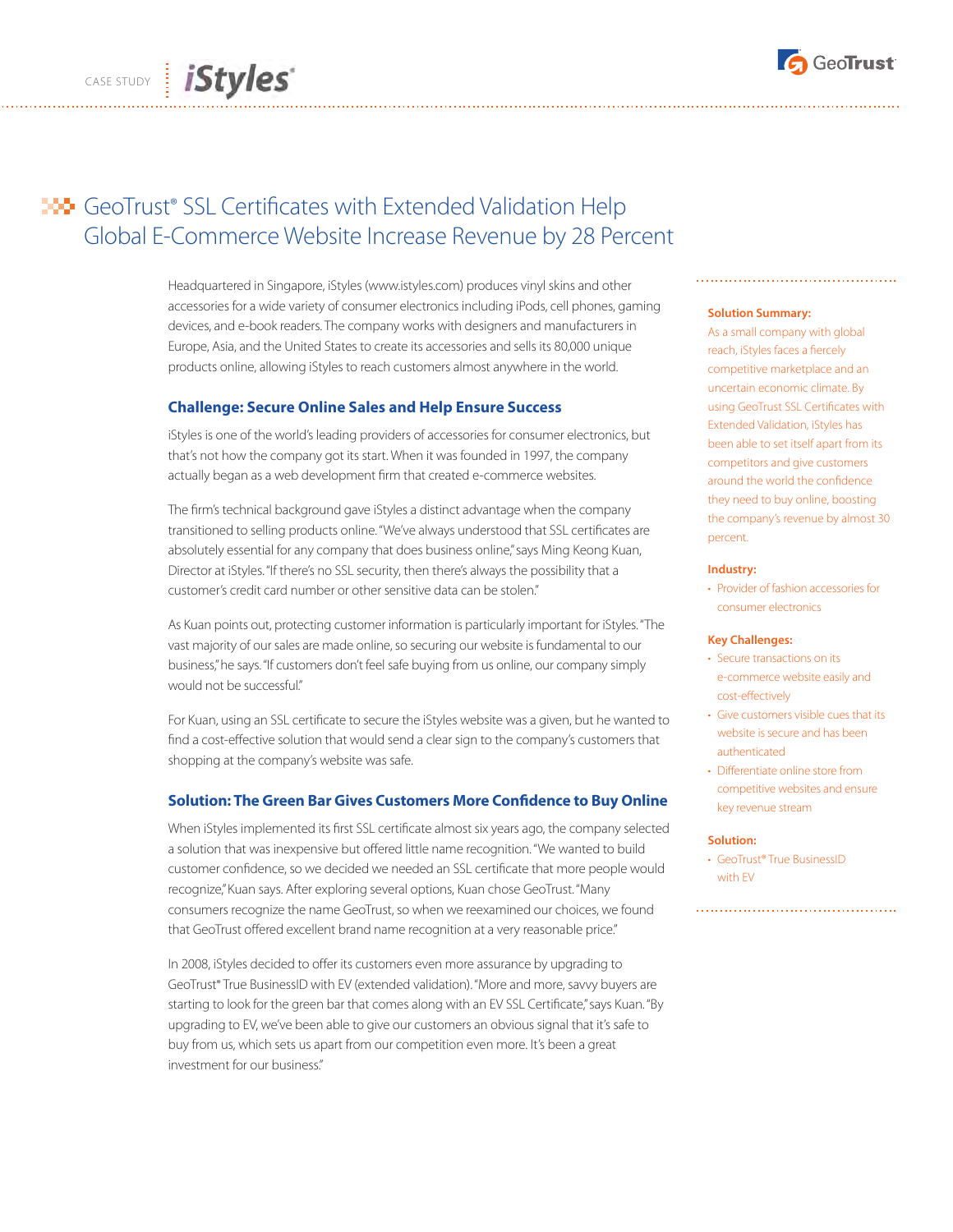

# **HO** GeoTrust® SSL Certificates with Extended Validation Help Global E-Commerce Website Increase Revenue by 28 Percent

Headquartered in Singapore, iStyles (www.istyles.com) produces vinyl skins and other accessories for a wide variety of consumer electronics including iPods, cell phones, gaming devices, and e-book readers. The company works with designers and manufacturers in Europe, Asia, and the United States to create its accessories and sells its 80,000 unique products online, allowing iStyles to reach customers almost anywhere in the world.

## **Challenge: Secure Online Sales and Help Ensure Success**

iStyles is one of the world's leading providers of accessories for consumer electronics, but that's not how the company got its start. When it was founded in 1997, the company actually began as a web development firm that created e-commerce websites.

The firm's technical background gave iStyles a distinct advantage when the company transitioned to selling products online. "We've always understood that SSL certificates are absolutely essential for any company that does business online," says Ming Keong Kuan, Director at iStyles. "If there's no SSL security, then there's always the possibility that a customer's credit card number or other sensitive data can be stolen."

As Kuan points out, protecting customer information is particularly important for iStyles. "The vast majority of our sales are made online, so securing our website is fundamental to our business," he says. "If customers don't feel safe buying from us online, our company simply would not be successful."

For Kuan, using an SSL certificate to secure the iStyles website was a given, but he wanted to find a cost-effective solution that would send a clear sign to the company's customers that shopping at the company's website was safe.

# **Solution: The Green Bar Gives Customers More Confidence to Buy Online**

When iStyles implemented its first SSL certificate almost six years ago, the company selected a solution that was inexpensive but offered little name recognition. "We wanted to build customer confidence, so we decided we needed an SSL certificate that more people would recognize," Kuan says. After exploring several options, Kuan chose GeoTrust. "Many consumers recognize the name GeoTrust, so when we reexamined our choices, we found that GeoTrust offered excellent brand name recognition at a very reasonable price."

In 2008, iStyles decided to offer its customers even more assurance by upgrading to GeoTrust® True BusinessID with EV (extended validation). "More and more, savvy buyers are starting to look for the green bar that comes along with an EV SSL Certificate," says Kuan. "By upgrading to EV, we've been able to give our customers an obvious signal that it's safe to buy from us, which sets us apart from our competition even more. It's been a great investment for our business."

### **Solution Summary:**

As a small company with global reach, iStyles faces a fiercely competitive marketplace and an uncertain economic climate. By using GeoTrust SSL Certificates with Extended Validation, iStyles has been able to set itself apart from its competitors and give customers around the world the confidence they need to buy online, boosting the company's revenue by almost 30 percent.

#### **Industry:**

• Provider of fashion accessories for consumer electronics

#### **Key Challenges:**

- Secure transactions on its e-commerce website easily and cost-effectively
- • Give customers visible cues that its website is secure and has been authenticated
- Differentiate online store from competitive websites and ensure key revenue stream

#### **Solution:**

• GeoTrust® True BusinessID with EV